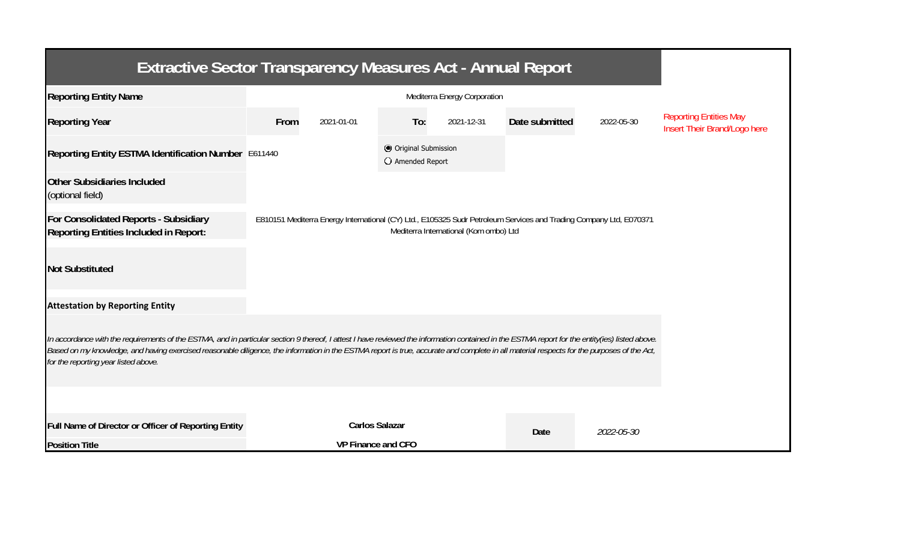| <b>Extractive Sector Transparency Measures Act - Annual Report</b>                                                                                                                                                                                                                                                                                                                                                                    |                    |                       |                                           |            |                |            |                                                               |  |  |  |
|---------------------------------------------------------------------------------------------------------------------------------------------------------------------------------------------------------------------------------------------------------------------------------------------------------------------------------------------------------------------------------------------------------------------------------------|--------------------|-----------------------|-------------------------------------------|------------|----------------|------------|---------------------------------------------------------------|--|--|--|
| <b>Reporting Entity Name</b>                                                                                                                                                                                                                                                                                                                                                                                                          |                    |                       |                                           |            |                |            |                                                               |  |  |  |
| <b>Reporting Year</b>                                                                                                                                                                                                                                                                                                                                                                                                                 | From               | 2021-01-01            | To:                                       | 2021-12-31 | Date submitted | 2022-05-30 | <b>Reporting Entities May</b><br>Insert Their Brand/Logo here |  |  |  |
| Reporting Entity ESTMA Identification Number E611440                                                                                                                                                                                                                                                                                                                                                                                  |                    |                       | © Original Submission<br>O Amended Report |            |                |            |                                                               |  |  |  |
| <b>Other Subsidiaries Included</b><br>(optional field)                                                                                                                                                                                                                                                                                                                                                                                |                    |                       |                                           |            |                |            |                                                               |  |  |  |
| For Consolidated Reports - Subsidiary<br>E810151 Mediterra Energy International (CY) Ltd., E105325 Sudr Petroleum Services and Trading Company Ltd, E070371<br>Mediterra International (Kom ombo) Ltd<br>Reporting Entities Included in Report:                                                                                                                                                                                       |                    |                       |                                           |            |                |            |                                                               |  |  |  |
| <b>Not Substituted</b>                                                                                                                                                                                                                                                                                                                                                                                                                |                    |                       |                                           |            |                |            |                                                               |  |  |  |
| <b>Attestation by Reporting Entity</b>                                                                                                                                                                                                                                                                                                                                                                                                |                    |                       |                                           |            |                |            |                                                               |  |  |  |
| In accordance with the requirements of the ESTMA, and in particular section 9 thereof, I attest I have reviewed the information contained in the ESTMA report for the entity(ies) listed above.<br>Based on my knowledge, and having exercised reasonable diligence, the information in the ESTMA report is true, accurate and complete in all material respects for the purposes of the Act,<br>for the reporting year listed above. |                    |                       |                                           |            |                |            |                                                               |  |  |  |
|                                                                                                                                                                                                                                                                                                                                                                                                                                       |                    |                       |                                           |            |                |            |                                                               |  |  |  |
| Full Name of Director or Officer of Reporting Entity                                                                                                                                                                                                                                                                                                                                                                                  |                    | <b>Carlos Salazar</b> |                                           |            | Date           | 2022-05-30 |                                                               |  |  |  |
| <b>Position Title</b>                                                                                                                                                                                                                                                                                                                                                                                                                 | VP Finance and CFO |                       |                                           |            |                |            |                                                               |  |  |  |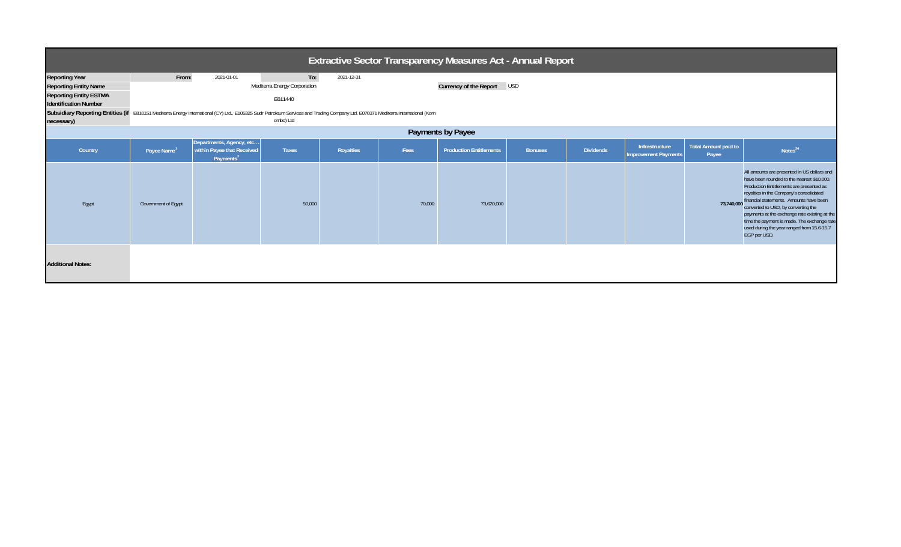| Extractive Sector Transparency Measures Act - Annual Report                                                                          |                                                                                                                                                                                                                                                                                                                     |                                                                                 |        |           |        |                                |                |                  |                                        |                               |                                                                                                                                                                                                                                                                                                                                                                                                                                             |
|--------------------------------------------------------------------------------------------------------------------------------------|---------------------------------------------------------------------------------------------------------------------------------------------------------------------------------------------------------------------------------------------------------------------------------------------------------------------|---------------------------------------------------------------------------------|--------|-----------|--------|--------------------------------|----------------|------------------|----------------------------------------|-------------------------------|---------------------------------------------------------------------------------------------------------------------------------------------------------------------------------------------------------------------------------------------------------------------------------------------------------------------------------------------------------------------------------------------------------------------------------------------|
| <b>Reporting Year</b><br><b>Reporting Entity Name</b><br><b>Reporting Entity ESTMA</b><br><b>Identification Number</b><br>necessary) | From:<br>To:<br>2021-01-01<br>2021-12-31<br>Currency of the Report USD<br>Mediterra Energy Corporation<br>E611440<br>Subsidiary Reporting Entities (if E810151 Mediterra Energy International (CY) Ltd., E105325 Sudr Petroleum Services and Trading Company Ltd, E070371 Mediterra International (Kom<br>ombo) Ltd |                                                                                 |        |           |        |                                |                |                  |                                        |                               |                                                                                                                                                                                                                                                                                                                                                                                                                                             |
| Payments by Payee                                                                                                                    |                                                                                                                                                                                                                                                                                                                     |                                                                                 |        |           |        |                                |                |                  |                                        |                               |                                                                                                                                                                                                                                                                                                                                                                                                                                             |
| Country                                                                                                                              | Payee Name <sup>1</sup>                                                                                                                                                                                                                                                                                             | Departments, Agency, etc<br>within Payee that Received<br>Payments <sup>2</sup> | Taxes  | Royalties | Fees   | <b>Production Entitlements</b> | <b>Bonuses</b> | <b>Dividends</b> | Infrastructure<br>Improvement Payments | Total Amount paid to<br>Payee | Notes <sup>34</sup>                                                                                                                                                                                                                                                                                                                                                                                                                         |
| Egypt                                                                                                                                | Government of Egypt                                                                                                                                                                                                                                                                                                 |                                                                                 | 50,000 |           | 70,000 | 73,620,000                     |                |                  |                                        |                               | All amounts are presented in US dollars and<br>have been rounded to the nearest \$10,000.<br>Production Entitlements are presented as<br>royalties in the Company's consolidated<br>73,740,000 financial statements. Amounts have been<br>converted to USD, by converting the<br>payments at the exchange rate existing at the<br>time the payment is made. The exchange rate<br>used during the year ranged from 15.6-15.7<br>EGP per USD. |
| <b>Additional Notes:</b>                                                                                                             |                                                                                                                                                                                                                                                                                                                     |                                                                                 |        |           |        |                                |                |                  |                                        |                               |                                                                                                                                                                                                                                                                                                                                                                                                                                             |